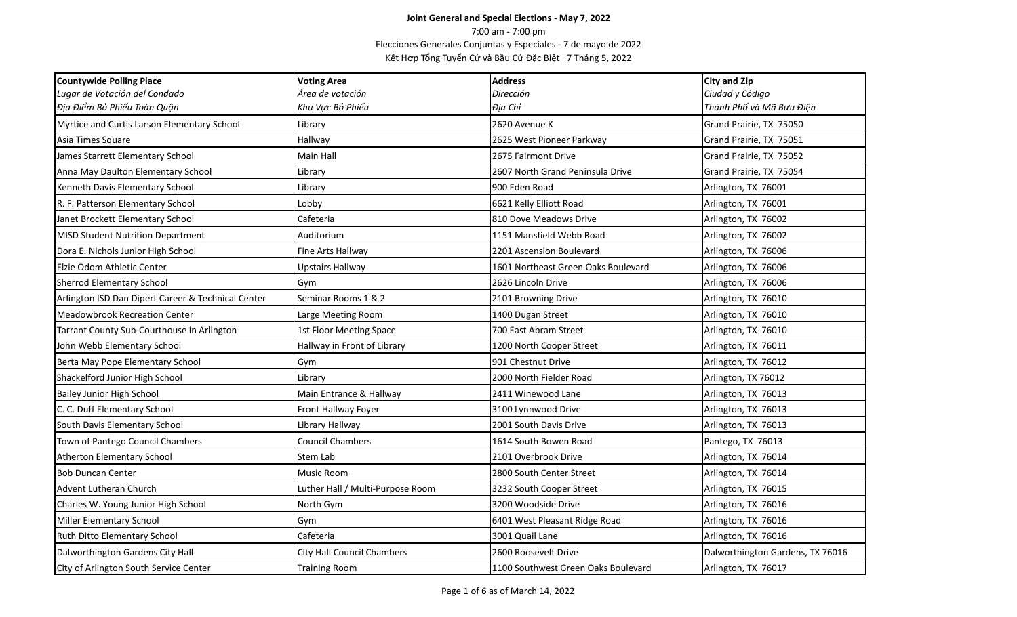| <b>Countywide Polling Place</b>                    | <b>Voting Area</b>               | <b>Address</b>                      | <b>City and Zip</b>              |
|----------------------------------------------------|----------------------------------|-------------------------------------|----------------------------------|
| Lugar de Votación del Condado                      | Área de votación                 | Dirección                           | Ciudad y Código                  |
| Địa Điểm Bỏ Phiếu Toàn Quận                        | Khu Vực Bỏ Phiếu                 | Địa Chỉ                             | Thành Phố và Mã Bưu Điện         |
| Myrtice and Curtis Larson Elementary School        | ibrary.                          | 2620 Avenue K                       | Grand Prairie, TX 75050          |
| Asia Times Square                                  | Hallway                          | 2625 West Pioneer Parkway           | Grand Prairie, TX 75051          |
| James Starrett Elementary School                   | Main Hall                        | 2675 Fairmont Drive                 | Grand Prairie, TX 75052          |
| Anna May Daulton Elementary School                 | Library                          | 2607 North Grand Peninsula Drive    | Grand Prairie, TX 75054          |
| Kenneth Davis Elementary School                    | Library                          | 900 Eden Road                       | Arlington, TX 76001              |
| R. F. Patterson Elementary School                  | Lobby                            | 6621 Kelly Elliott Road             | Arlington, TX 76001              |
| Janet Brockett Elementary School                   | Cafeteria                        | 810 Dove Meadows Drive              | Arlington, TX 76002              |
| <b>MISD Student Nutrition Department</b>           | Auditorium                       | 1151 Mansfield Webb Road            | Arlington, TX 76002              |
| Dora E. Nichols Junior High School                 | Fine Arts Hallway                | 2201 Ascension Boulevard            | Arlington, TX 76006              |
| Elzie Odom Athletic Center                         | <b>Upstairs Hallway</b>          | 1601 Northeast Green Oaks Boulevard | Arlington, TX 76006              |
| <b>Sherrod Elementary School</b>                   | Gym                              | 2626 Lincoln Drive                  | Arlington, TX 76006              |
| Arlington ISD Dan Dipert Career & Technical Center | Seminar Rooms 1 & 2              | 2101 Browning Drive                 | Arlington, TX 76010              |
| <b>Meadowbrook Recreation Center</b>               | Large Meeting Room               | 1400 Dugan Street                   | Arlington, TX 76010              |
| Tarrant County Sub-Courthouse in Arlington         | 1st Floor Meeting Space          | 700 East Abram Street               | Arlington, TX 76010              |
| John Webb Elementary School                        | Hallway in Front of Library      | 1200 North Cooper Street            | Arlington, TX 76011              |
| Berta May Pope Elementary School                   | Gym                              | 901 Chestnut Drive                  | Arlington, TX 76012              |
| Shackelford Junior High School                     | Library                          | 2000 North Fielder Road             | Arlington, TX 76012              |
| <b>Bailey Junior High School</b>                   | Main Entrance & Hallway          | 2411 Winewood Lane                  | Arlington, TX 76013              |
| C. C. Duff Elementary School                       | Front Hallway Foyer              | 3100 Lynnwood Drive                 | Arlington, TX 76013              |
| South Davis Elementary School                      | Library Hallway                  | 2001 South Davis Drive              | Arlington, TX 76013              |
| Town of Pantego Council Chambers                   | Council Chambers                 | 1614 South Bowen Road               | Pantego, TX 76013                |
| <b>Atherton Elementary School</b>                  | Stem Lab                         | 2101 Overbrook Drive                | Arlington, TX 76014              |
| <b>Bob Duncan Center</b>                           | Music Room                       | 2800 South Center Street            | Arlington, TX 76014              |
| <b>Advent Lutheran Church</b>                      | Luther Hall / Multi-Purpose Room | 3232 South Cooper Street            | Arlington, TX 76015              |
| Charles W. Young Junior High School                | North Gym                        | 3200 Woodside Drive                 | Arlington, TX 76016              |
| <b>Miller Elementary School</b>                    | Gym                              | 6401 West Pleasant Ridge Road       | Arlington, TX 76016              |
| Ruth Ditto Elementary School                       | Cafeteria                        | 3001 Quail Lane                     | Arlington, TX 76016              |
| Dalworthington Gardens City Hall                   | City Hall Council Chambers       | 2600 Roosevelt Drive                | Dalworthington Gardens, TX 76016 |
| City of Arlington South Service Center             | <b>Training Room</b>             | 1100 Southwest Green Oaks Boulevard | Arlington, TX 76017              |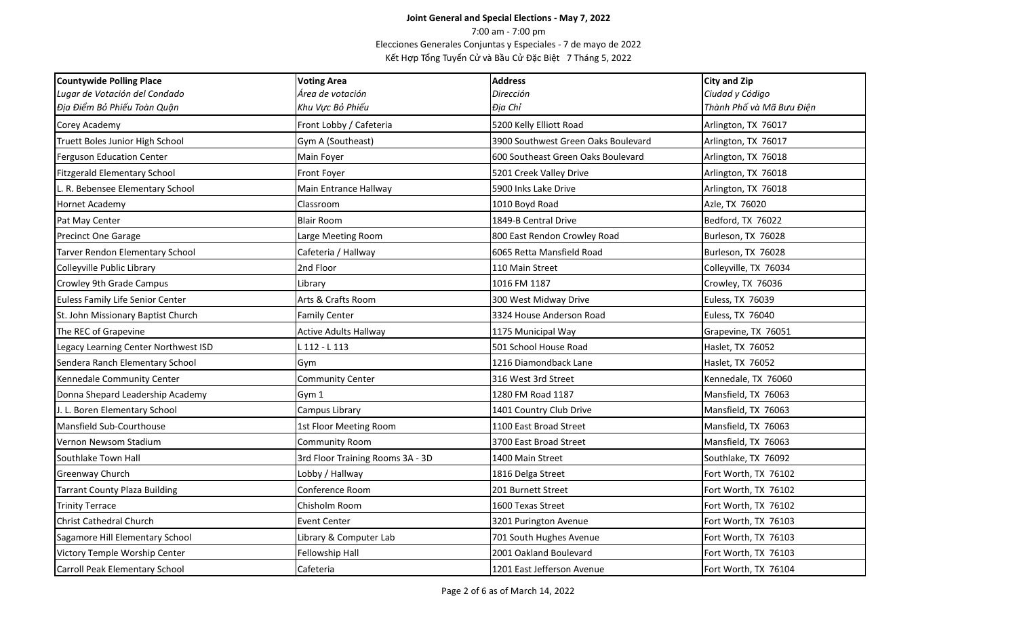| <b>Countywide Polling Place</b>      | <b>Voting Area</b>               | <b>Address</b>                      | <b>City and Zip</b>      |
|--------------------------------------|----------------------------------|-------------------------------------|--------------------------|
| Lugar de Votación del Condado        | Área de votación                 | Dirección                           | Ciudad y Código          |
| Địa Điểm Bỏ Phiếu Toàn Quận          | Khu Vực Bỏ Phiếu                 | Địa Chỉ                             | Thành Phố và Mã Bưu Điện |
| Corey Academy                        | Front Lobby / Cafeteria          | 5200 Kelly Elliott Road             | Arlington, TX 76017      |
| Truett Boles Junior High School      | Gym A (Southeast)                | 3900 Southwest Green Oaks Boulevard | Arlington, TX 76017      |
| <b>Ferguson Education Center</b>     | Main Foyer                       | 600 Southeast Green Oaks Boulevard  | Arlington, TX 76018      |
| <b>Fitzgerald Elementary School</b>  | Front Foyer                      | 5201 Creek Valley Drive             | Arlington, TX 76018      |
| R. Bebensee Elementary School        | Main Entrance Hallway            | 5900 Inks Lake Drive                | Arlington, TX 76018      |
| <b>Hornet Academy</b>                | Classroom                        | 1010 Boyd Road                      | Azle, TX 76020           |
| Pat May Center                       | <b>Blair Room</b>                | 1849-B Central Drive                | Bedford, TX 76022        |
| Precinct One Garage                  | Large Meeting Room               | 800 East Rendon Crowley Road        | Burleson, TX 76028       |
| Tarver Rendon Elementary School      | Cafeteria / Hallway              | 6065 Retta Mansfield Road           | Burleson, TX 76028       |
| Colleyville Public Library           | 2nd Floor                        | 110 Main Street                     | Colleyville, TX 76034    |
| Crowley 9th Grade Campus             | Library                          | 1016 FM 1187                        | Crowley, TX 76036        |
| Euless Family Life Senior Center     | Arts & Crafts Room               | 300 West Midway Drive               | Euless, TX 76039         |
| St. John Missionary Baptist Church   | <b>Family Center</b>             | 3324 House Anderson Road            | Euless, TX 76040         |
| The REC of Grapevine                 | <b>Active Adults Hallway</b>     | 1175 Municipal Way                  | Grapevine, TX 76051      |
| Legacy Learning Center Northwest ISD | $112 - 113$                      | 501 School House Road               | Haslet, TX 76052         |
| Sendera Ranch Elementary School      | Gvm                              | 1216 Diamondback Lane               | Haslet, TX 76052         |
| Kennedale Community Center           | Community Center                 | 316 West 3rd Street                 | Kennedale, TX 76060      |
| Donna Shepard Leadership Academy     | Gym 1                            | 1280 FM Road 1187                   | Mansfield, TX 76063      |
| J. L. Boren Elementary School        | Campus Library                   | 1401 Country Club Drive             | Mansfield, TX 76063      |
| Mansfield Sub-Courthouse             | 1st Floor Meeting Room           | 1100 East Broad Street              | Mansfield, TX 76063      |
| Vernon Newsom Stadium                | Community Room                   | 3700 East Broad Street              | Mansfield, TX 76063      |
| Southlake Town Hall                  | 3rd Floor Training Rooms 3A - 3D | 1400 Main Street                    | Southlake, TX 76092      |
| Greenway Church                      | Lobby / Hallway                  | 1816 Delga Street                   | Fort Worth, TX 76102     |
| <b>Tarrant County Plaza Building</b> | Conference Room                  | 201 Burnett Street                  | Fort Worth, TX 76102     |
| <b>Trinity Terrace</b>               | Chisholm Room                    | 1600 Texas Street                   | Fort Worth, TX 76102     |
| <b>Christ Cathedral Church</b>       | <b>Event Center</b>              | 3201 Purington Avenue               | Fort Worth, TX 76103     |
| Sagamore Hill Elementary School      | Library & Computer Lab           | 701 South Hughes Avenue             | Fort Worth, TX 76103     |
| Victory Temple Worship Center        | Fellowship Hall                  | 2001 Oakland Boulevard              | Fort Worth, TX 76103     |
| Carroll Peak Elementary School       | Cafeteria                        | 1201 East Jefferson Avenue          | Fort Worth, TX 76104     |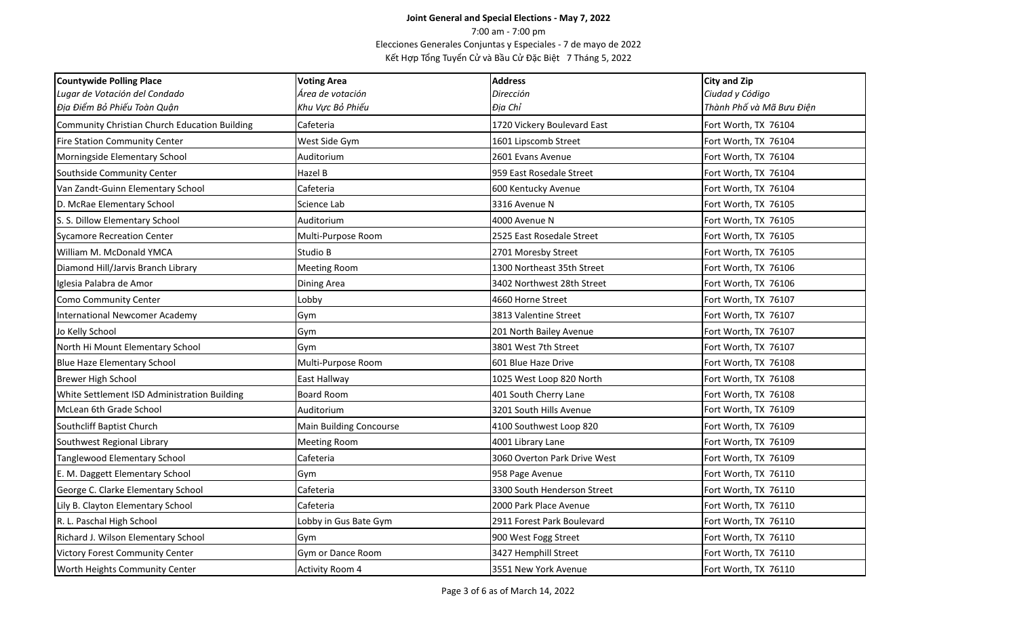| <b>Countywide Polling Place</b>               | <b>Voting Area</b>             | <b>Address</b>               | <b>City and Zip</b>      |
|-----------------------------------------------|--------------------------------|------------------------------|--------------------------|
| Lugar de Votación del Condado                 | Área de votación               | Dirección                    | Ciudad y Código          |
| Địa Điểm Bỏ Phiếu Toàn Quận                   | Khu Vực Bỏ Phiếu               | Địa Chỉ                      | Thành Phố và Mã Bưu Điện |
| Community Christian Church Education Building | Cafeteria                      | 1720 Vickery Boulevard East  | Fort Worth, TX 76104     |
| <b>Fire Station Community Center</b>          | West Side Gym                  | 1601 Lipscomb Street         | Fort Worth, TX 76104     |
| Morningside Elementary School                 | Auditorium                     | 2601 Evans Avenue            | Fort Worth, TX 76104     |
| Southside Community Center                    | Hazel B                        | 959 East Rosedale Street     | Fort Worth, TX 76104     |
| Van Zandt-Guinn Elementary School             | Cafeteria                      | 600 Kentucky Avenue          | Fort Worth, TX 76104     |
| D. McRae Elementary School                    | Science Lab                    | 3316 Avenue N                | Fort Worth, TX 76105     |
| S. S. Dillow Elementary School                | Auditorium                     | 4000 Avenue N                | Fort Worth, TX 76105     |
| <b>Sycamore Recreation Center</b>             | Multi-Purpose Room             | 2525 East Rosedale Street    | Fort Worth, TX 76105     |
| William M. McDonald YMCA                      | Studio B                       | 2701 Moresby Street          | Fort Worth, TX 76105     |
| Diamond Hill/Jarvis Branch Library            | <b>Meeting Room</b>            | 1300 Northeast 35th Street   | Fort Worth, TX 76106     |
| Iglesia Palabra de Amor                       | Dining Area                    | 3402 Northwest 28th Street   | Fort Worth, TX 76106     |
| Como Community Center                         | Lobby                          | 4660 Horne Street            | Fort Worth, TX 76107     |
| <b>International Newcomer Academy</b>         | Gym                            | 3813 Valentine Street        | Fort Worth, TX 76107     |
| Jo Kelly School                               | Gym                            | 201 North Bailey Avenue      | Fort Worth, TX 76107     |
| North Hi Mount Elementary School              | Gym                            | 3801 West 7th Street         | Fort Worth, TX 76107     |
| <b>Blue Haze Elementary School</b>            | Multi-Purpose Room             | 601 Blue Haze Drive          | Fort Worth, TX 76108     |
| Brewer High School                            | East Hallway                   | 1025 West Loop 820 North     | Fort Worth, TX 76108     |
| White Settlement ISD Administration Building  | <b>Board Room</b>              | 401 South Cherry Lane        | Fort Worth, TX 76108     |
| McLean 6th Grade School                       | Auditorium                     | 3201 South Hills Avenue      | Fort Worth, TX 76109     |
| Southcliff Baptist Church                     | <b>Main Building Concourse</b> | 4100 Southwest Loop 820      | Fort Worth, TX 76109     |
| Southwest Regional Library                    | <b>Meeting Room</b>            | 4001 Library Lane            | Fort Worth, TX 76109     |
| Tanglewood Elementary School                  | Cafeteria                      | 3060 Overton Park Drive West | Fort Worth, TX 76109     |
| E. M. Daggett Elementary School               | Gym                            | 958 Page Avenue              | Fort Worth, TX 76110     |
| George C. Clarke Elementary School            | Cafeteria                      | 3300 South Henderson Street  | Fort Worth, TX 76110     |
| Lily B. Clayton Elementary School             | Cafeteria                      | 2000 Park Place Avenue       | Fort Worth, TX 76110     |
| R. L. Paschal High School                     | Lobby in Gus Bate Gym          | 2911 Forest Park Boulevard   | Fort Worth, TX 76110     |
| Richard J. Wilson Elementary School           | Gym                            | 900 West Fogg Street         | Fort Worth, TX 76110     |
| <b>Victory Forest Community Center</b>        | Gym or Dance Room              | 3427 Hemphill Street         | Fort Worth, TX 76110     |
| Worth Heights Community Center                | <b>Activity Room 4</b>         | 3551 New York Avenue         | Fort Worth, TX 76110     |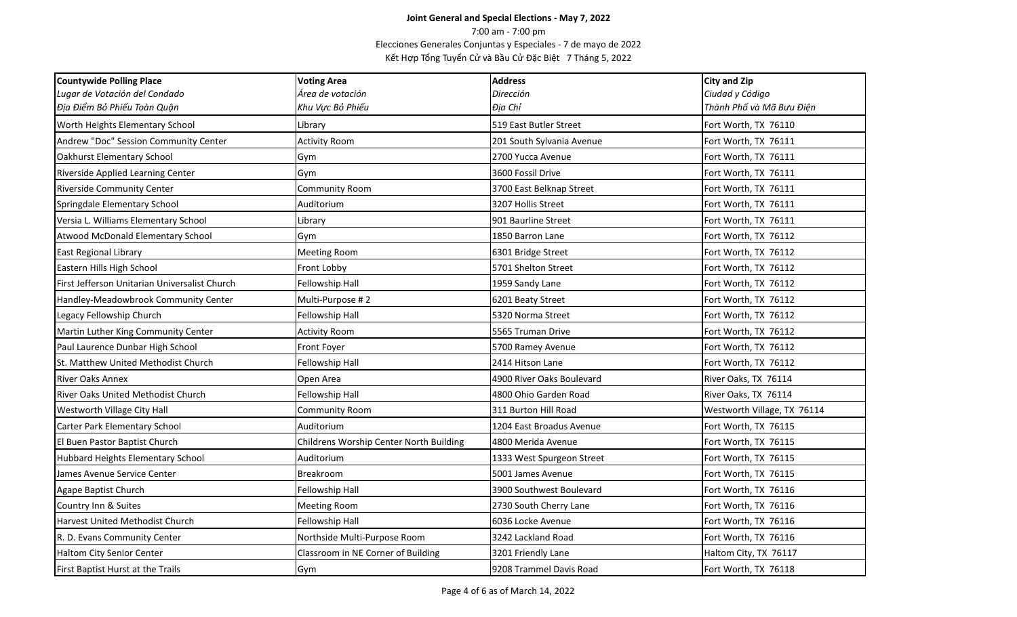| <b>Countywide Polling Place</b>               | <b>Voting Area</b>                      | <b>Address</b>            | <b>City and Zip</b>         |
|-----------------------------------------------|-----------------------------------------|---------------------------|-----------------------------|
| Lugar de Votación del Condado                 | Área de votación                        | Dirección                 | Ciudad y Código             |
| Địa Điểm Bỏ Phiếu Toàn Quận                   | Khu Vực Bỏ Phiếu                        | Địa Chỉ                   | Thành Phố và Mã Bưu Điện    |
| Worth Heights Elementary School               | Library                                 | 519 East Butler Street    | Fort Worth, TX 76110        |
| Andrew "Doc" Session Community Center         | <b>Activity Room</b>                    | 201 South Sylvania Avenue | Fort Worth, TX 76111        |
| <b>Oakhurst Elementary School</b>             | Gym                                     | 2700 Yucca Avenue         | Fort Worth, TX 76111        |
| Riverside Applied Learning Center             | Gym                                     | 3600 Fossil Drive         | Fort Worth, TX 76111        |
| <b>Riverside Community Center</b>             | Community Room                          | 3700 East Belknap Street  | Fort Worth, TX 76111        |
| Springdale Elementary School                  | Auditorium                              | 3207 Hollis Street        | Fort Worth, TX 76111        |
| Versia L. Williams Elementary School          | Library                                 | 901 Baurline Street       | Fort Worth, TX 76111        |
| Atwood McDonald Elementary School             | Gym                                     | 1850 Barron Lane          | Fort Worth, TX 76112        |
| <b>East Regional Library</b>                  | <b>Meeting Room</b>                     | 6301 Bridge Street        | Fort Worth, TX 76112        |
| Eastern Hills High School                     | Front Lobby                             | 5701 Shelton Street       | Fort Worth, TX 76112        |
| First Jefferson Unitarian Universalist Church | Fellowship Hall                         | 1959 Sandy Lane           | Fort Worth, TX 76112        |
| Handley-Meadowbrook Community Center          | Multi-Purpose #2                        | 6201 Beaty Street         | Fort Worth, TX 76112        |
| Legacy Fellowship Church                      | Fellowship Hall                         | 5320 Norma Street         | Fort Worth, TX 76112        |
| Martin Luther King Community Center           | <b>Activity Room</b>                    | 5565 Truman Drive         | Fort Worth, TX 76112        |
| Paul Laurence Dunbar High School              | Front Foyer                             | 5700 Ramey Avenue         | Fort Worth, TX 76112        |
| St. Matthew United Methodist Church           | Fellowship Hall                         | 2414 Hitson Lane          | Fort Worth, TX 76112        |
| <b>River Oaks Annex</b>                       | Open Area                               | 4900 River Oaks Boulevard | River Oaks, TX 76114        |
| River Oaks United Methodist Church            | Fellowship Hall                         | 4800 Ohio Garden Road     | River Oaks, TX 76114        |
| Westworth Village City Hall                   | Community Room                          | 311 Burton Hill Road      | Westworth Village, TX 76114 |
| <b>Carter Park Elementary School</b>          | Auditorium                              | 1204 East Broadus Avenue  | Fort Worth, TX 76115        |
| El Buen Pastor Baptist Church                 | Childrens Worship Center North Building | 4800 Merida Avenue        | Fort Worth, TX 76115        |
| Hubbard Heights Elementary School             | Auditorium                              | 1333 West Spurgeon Street | Fort Worth, TX 76115        |
| James Avenue Service Center                   | Breakroom                               | 5001 James Avenue         | Fort Worth, TX 76115        |
| Agape Baptist Church                          | Fellowship Hall                         | 3900 Southwest Boulevard  | Fort Worth, TX 76116        |
| Country Inn & Suites                          | <b>Meeting Room</b>                     | 2730 South Cherry Lane    | Fort Worth, TX 76116        |
| Harvest United Methodist Church               | Fellowship Hall                         | 6036 Locke Avenue         | Fort Worth, TX 76116        |
| R. D. Evans Community Center                  | Northside Multi-Purpose Room            | 3242 Lackland Road        | Fort Worth, TX 76116        |
| Haltom City Senior Center                     | Classroom in NE Corner of Building      | 3201 Friendly Lane        | Haltom City, TX 76117       |
| First Baptist Hurst at the Trails             | Gym                                     | 9208 Trammel Davis Road   | Fort Worth, TX 76118        |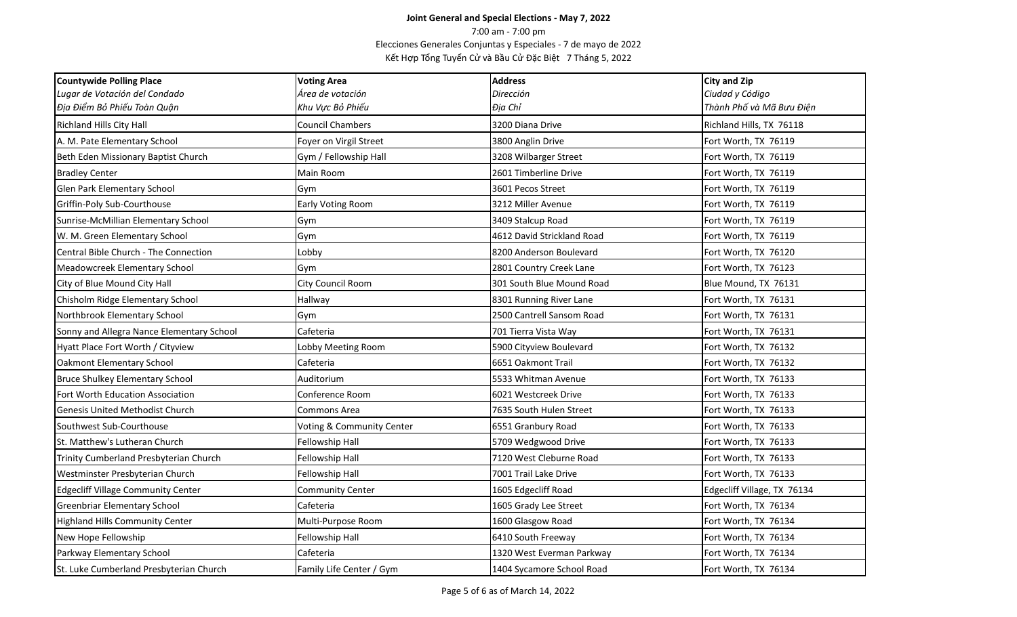| <b>Countywide Polling Place</b>           | <b>Voting Area</b>        | <b>Address</b>             | <b>City and Zip</b>         |
|-------------------------------------------|---------------------------|----------------------------|-----------------------------|
| Lugar de Votación del Condado             | Área de votación          | Dirección                  | Ciudad y Código             |
| Địa Điểm Bỏ Phiếu Toàn Quận               | Khu Vực Bỏ Phiếu          | Địa Chỉ                    | Thành Phố và Mã Bưu Điện    |
| Richland Hills City Hall                  | <b>Council Chambers</b>   | 3200 Diana Drive           | Richland Hills, TX 76118    |
| A. M. Pate Elementary School              | Foyer on Virgil Street    | 3800 Anglin Drive          | Fort Worth, TX 76119        |
| Beth Eden Missionary Baptist Church       | Gym / Fellowship Hall     | 3208 Wilbarger Street      | Fort Worth, TX 76119        |
| <b>Bradley Center</b>                     | Main Room                 | 2601 Timberline Drive      | Fort Worth, TX 76119        |
| Glen Park Elementary School               | Gym                       | 3601 Pecos Street          | Fort Worth, TX 76119        |
| Griffin-Poly Sub-Courthouse               | <b>Early Voting Room</b>  | 3212 Miller Avenue         | Fort Worth, TX 76119        |
| Sunrise-McMillian Elementary School       | Gym                       | 3409 Stalcup Road          | Fort Worth, TX 76119        |
| W. M. Green Elementary School             | Gym                       | 4612 David Strickland Road | Fort Worth, TX 76119        |
| Central Bible Church - The Connection     | Lobby                     | 8200 Anderson Boulevard    | Fort Worth, TX 76120        |
| Meadowcreek Elementary School             | Gym                       | 2801 Country Creek Lane    | Fort Worth, TX 76123        |
| City of Blue Mound City Hall              | City Council Room         | 301 South Blue Mound Road  | Blue Mound, TX 76131        |
| Chisholm Ridge Elementary School          | Hallway                   | 8301 Running River Lane    | Fort Worth, TX 76131        |
| Northbrook Elementary School              | Gym                       | 2500 Cantrell Sansom Road  | Fort Worth, TX 76131        |
| Sonny and Allegra Nance Elementary School | Cafeteria                 | 701 Tierra Vista Way       | Fort Worth, TX 76131        |
| Hyatt Place Fort Worth / Cityview         | Lobby Meeting Room        | 5900 Cityview Boulevard    | Fort Worth, TX 76132        |
| <b>Oakmont Elementary School</b>          | Cafeteria                 | 6651 Oakmont Trail         | Fort Worth, TX 76132        |
| <b>Bruce Shulkey Elementary School</b>    | Auditorium                | 5533 Whitman Avenue        | Fort Worth, TX 76133        |
| Fort Worth Education Association          | Conference Room           | 6021 Westcreek Drive       | Fort Worth, TX 76133        |
| <b>Genesis United Methodist Church</b>    | Commons Area              | 7635 South Hulen Street    | Fort Worth, TX 76133        |
| Southwest Sub-Courthouse                  | Voting & Community Center | 6551 Granbury Road         | Fort Worth, TX 76133        |
| St. Matthew's Lutheran Church             | Fellowship Hall           | 5709 Wedgwood Drive        | Fort Worth, TX 76133        |
| Trinity Cumberland Presbyterian Church    | Fellowship Hall           | 7120 West Cleburne Road    | Fort Worth, TX 76133        |
| Westminster Presbyterian Church           | Fellowship Hall           | 7001 Trail Lake Drive      | Fort Worth, TX 76133        |
| <b>Edgecliff Village Community Center</b> | <b>Community Center</b>   | 1605 Edgecliff Road        | Edgecliff Village, TX 76134 |
| <b>Greenbriar Elementary School</b>       | Cafeteria                 | 1605 Grady Lee Street      | Fort Worth, TX 76134        |
| Highland Hills Community Center           | Multi-Purpose Room        | 1600 Glasgow Road          | Fort Worth, TX 76134        |
| New Hope Fellowship                       | Fellowship Hall           | 6410 South Freeway         | Fort Worth, TX 76134        |
| Parkway Elementary School                 | Cafeteria                 | 1320 West Everman Parkway  | Fort Worth, TX 76134        |
| St. Luke Cumberland Presbyterian Church   | Family Life Center / Gym  | 1404 Sycamore School Road  | Fort Worth, TX 76134        |